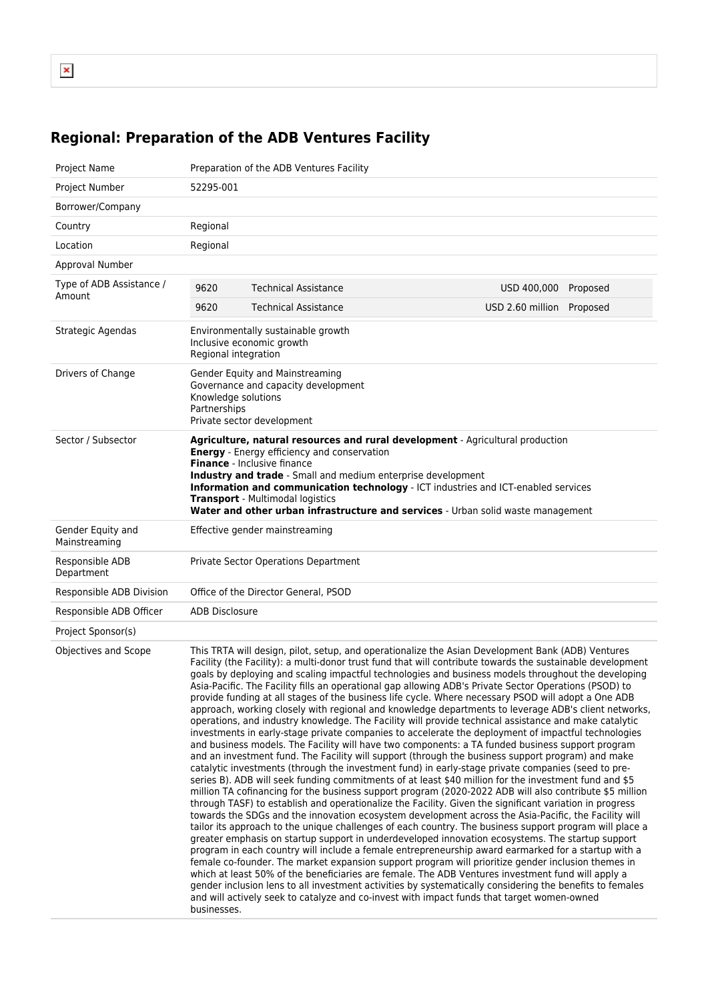## **Regional: Preparation of the ADB Ventures Facility**

| Project Name                       | Preparation of the ADB Ventures Facility                                                                                                                                                                                                                                                                                                                                                                                                                                                                                                                                                                                                                                                                                                                                                                                                                                                                                                                                                                                                                                                                                                                                                                                                                                                                                                                                                                                                                                                                                                                                                                                                                                                                                                                                                                                                                                                                                                                                                                                                                                                                                                                                                                                                                                                                                                                                        |                                |                  |          |
|------------------------------------|---------------------------------------------------------------------------------------------------------------------------------------------------------------------------------------------------------------------------------------------------------------------------------------------------------------------------------------------------------------------------------------------------------------------------------------------------------------------------------------------------------------------------------------------------------------------------------------------------------------------------------------------------------------------------------------------------------------------------------------------------------------------------------------------------------------------------------------------------------------------------------------------------------------------------------------------------------------------------------------------------------------------------------------------------------------------------------------------------------------------------------------------------------------------------------------------------------------------------------------------------------------------------------------------------------------------------------------------------------------------------------------------------------------------------------------------------------------------------------------------------------------------------------------------------------------------------------------------------------------------------------------------------------------------------------------------------------------------------------------------------------------------------------------------------------------------------------------------------------------------------------------------------------------------------------------------------------------------------------------------------------------------------------------------------------------------------------------------------------------------------------------------------------------------------------------------------------------------------------------------------------------------------------------------------------------------------------------------------------------------------------|--------------------------------|------------------|----------|
| Project Number                     | 52295-001                                                                                                                                                                                                                                                                                                                                                                                                                                                                                                                                                                                                                                                                                                                                                                                                                                                                                                                                                                                                                                                                                                                                                                                                                                                                                                                                                                                                                                                                                                                                                                                                                                                                                                                                                                                                                                                                                                                                                                                                                                                                                                                                                                                                                                                                                                                                                                       |                                |                  |          |
| Borrower/Company                   |                                                                                                                                                                                                                                                                                                                                                                                                                                                                                                                                                                                                                                                                                                                                                                                                                                                                                                                                                                                                                                                                                                                                                                                                                                                                                                                                                                                                                                                                                                                                                                                                                                                                                                                                                                                                                                                                                                                                                                                                                                                                                                                                                                                                                                                                                                                                                                                 |                                |                  |          |
| Country                            | Regional                                                                                                                                                                                                                                                                                                                                                                                                                                                                                                                                                                                                                                                                                                                                                                                                                                                                                                                                                                                                                                                                                                                                                                                                                                                                                                                                                                                                                                                                                                                                                                                                                                                                                                                                                                                                                                                                                                                                                                                                                                                                                                                                                                                                                                                                                                                                                                        |                                |                  |          |
| Location                           | Regional                                                                                                                                                                                                                                                                                                                                                                                                                                                                                                                                                                                                                                                                                                                                                                                                                                                                                                                                                                                                                                                                                                                                                                                                                                                                                                                                                                                                                                                                                                                                                                                                                                                                                                                                                                                                                                                                                                                                                                                                                                                                                                                                                                                                                                                                                                                                                                        |                                |                  |          |
| Approval Number                    |                                                                                                                                                                                                                                                                                                                                                                                                                                                                                                                                                                                                                                                                                                                                                                                                                                                                                                                                                                                                                                                                                                                                                                                                                                                                                                                                                                                                                                                                                                                                                                                                                                                                                                                                                                                                                                                                                                                                                                                                                                                                                                                                                                                                                                                                                                                                                                                 |                                |                  |          |
| Type of ADB Assistance /<br>Amount | 9620                                                                                                                                                                                                                                                                                                                                                                                                                                                                                                                                                                                                                                                                                                                                                                                                                                                                                                                                                                                                                                                                                                                                                                                                                                                                                                                                                                                                                                                                                                                                                                                                                                                                                                                                                                                                                                                                                                                                                                                                                                                                                                                                                                                                                                                                                                                                                                            | <b>Technical Assistance</b>    | USD 400,000      | Proposed |
|                                    | 9620                                                                                                                                                                                                                                                                                                                                                                                                                                                                                                                                                                                                                                                                                                                                                                                                                                                                                                                                                                                                                                                                                                                                                                                                                                                                                                                                                                                                                                                                                                                                                                                                                                                                                                                                                                                                                                                                                                                                                                                                                                                                                                                                                                                                                                                                                                                                                                            | <b>Technical Assistance</b>    | USD 2.60 million | Proposed |
| Strategic Agendas                  | Environmentally sustainable growth<br>Inclusive economic growth<br>Regional integration                                                                                                                                                                                                                                                                                                                                                                                                                                                                                                                                                                                                                                                                                                                                                                                                                                                                                                                                                                                                                                                                                                                                                                                                                                                                                                                                                                                                                                                                                                                                                                                                                                                                                                                                                                                                                                                                                                                                                                                                                                                                                                                                                                                                                                                                                         |                                |                  |          |
| Drivers of Change                  | Gender Equity and Mainstreaming<br>Governance and capacity development<br>Knowledge solutions<br>Partnerships<br>Private sector development                                                                                                                                                                                                                                                                                                                                                                                                                                                                                                                                                                                                                                                                                                                                                                                                                                                                                                                                                                                                                                                                                                                                                                                                                                                                                                                                                                                                                                                                                                                                                                                                                                                                                                                                                                                                                                                                                                                                                                                                                                                                                                                                                                                                                                     |                                |                  |          |
| Sector / Subsector                 | Agriculture, natural resources and rural development - Agricultural production<br><b>Energy</b> - Energy efficiency and conservation<br>Finance - Inclusive finance<br>Industry and trade - Small and medium enterprise development<br>Information and communication technology - ICT industries and ICT-enabled services<br><b>Transport</b> - Multimodal logistics<br>Water and other urban infrastructure and services - Urban solid waste management                                                                                                                                                                                                                                                                                                                                                                                                                                                                                                                                                                                                                                                                                                                                                                                                                                                                                                                                                                                                                                                                                                                                                                                                                                                                                                                                                                                                                                                                                                                                                                                                                                                                                                                                                                                                                                                                                                                        |                                |                  |          |
| Gender Equity and<br>Mainstreaming |                                                                                                                                                                                                                                                                                                                                                                                                                                                                                                                                                                                                                                                                                                                                                                                                                                                                                                                                                                                                                                                                                                                                                                                                                                                                                                                                                                                                                                                                                                                                                                                                                                                                                                                                                                                                                                                                                                                                                                                                                                                                                                                                                                                                                                                                                                                                                                                 | Effective gender mainstreaming |                  |          |
| Responsible ADB<br>Department      | Private Sector Operations Department                                                                                                                                                                                                                                                                                                                                                                                                                                                                                                                                                                                                                                                                                                                                                                                                                                                                                                                                                                                                                                                                                                                                                                                                                                                                                                                                                                                                                                                                                                                                                                                                                                                                                                                                                                                                                                                                                                                                                                                                                                                                                                                                                                                                                                                                                                                                            |                                |                  |          |
| Responsible ADB Division           | Office of the Director General, PSOD                                                                                                                                                                                                                                                                                                                                                                                                                                                                                                                                                                                                                                                                                                                                                                                                                                                                                                                                                                                                                                                                                                                                                                                                                                                                                                                                                                                                                                                                                                                                                                                                                                                                                                                                                                                                                                                                                                                                                                                                                                                                                                                                                                                                                                                                                                                                            |                                |                  |          |
| Responsible ADB Officer            | <b>ADB Disclosure</b>                                                                                                                                                                                                                                                                                                                                                                                                                                                                                                                                                                                                                                                                                                                                                                                                                                                                                                                                                                                                                                                                                                                                                                                                                                                                                                                                                                                                                                                                                                                                                                                                                                                                                                                                                                                                                                                                                                                                                                                                                                                                                                                                                                                                                                                                                                                                                           |                                |                  |          |
| Project Sponsor(s)                 |                                                                                                                                                                                                                                                                                                                                                                                                                                                                                                                                                                                                                                                                                                                                                                                                                                                                                                                                                                                                                                                                                                                                                                                                                                                                                                                                                                                                                                                                                                                                                                                                                                                                                                                                                                                                                                                                                                                                                                                                                                                                                                                                                                                                                                                                                                                                                                                 |                                |                  |          |
| Objectives and Scope               | This TRTA will design, pilot, setup, and operationalize the Asian Development Bank (ADB) Ventures<br>Facility (the Facility): a multi-donor trust fund that will contribute towards the sustainable development<br>goals by deploying and scaling impactful technologies and business models throughout the developing<br>Asia-Pacific. The Facility fills an operational gap allowing ADB's Private Sector Operations (PSOD) to<br>provide funding at all stages of the business life cycle. Where necessary PSOD will adopt a One ADB<br>approach, working closely with regional and knowledge departments to leverage ADB's client networks,<br>operations, and industry knowledge. The Facility will provide technical assistance and make catalytic<br>investments in early-stage private companies to accelerate the deployment of impactful technologies<br>and business models. The Facility will have two components: a TA funded business support program<br>and an investment fund. The Facility will support (through the business support program) and make<br>catalytic investments (through the investment fund) in early-stage private companies (seed to pre-<br>series B). ADB will seek funding commitments of at least \$40 million for the investment fund and \$5<br>million TA cofinancing for the business support program (2020-2022 ADB will also contribute \$5 million<br>through TASF) to establish and operationalize the Facility. Given the significant variation in progress<br>towards the SDGs and the innovation ecosystem development across the Asia-Pacific, the Facility will<br>tailor its approach to the unique challenges of each country. The business support program will place a<br>greater emphasis on startup support in underdeveloped innovation ecosystems. The startup support<br>program in each country will include a female entrepreneurship award earmarked for a startup with a<br>female co-founder. The market expansion support program will prioritize gender inclusion themes in<br>which at least 50% of the beneficiaries are female. The ADB Ventures investment fund will apply a<br>gender inclusion lens to all investment activities by systematically considering the benefits to females<br>and will actively seek to catalyze and co-invest with impact funds that target women-owned<br>businesses. |                                |                  |          |